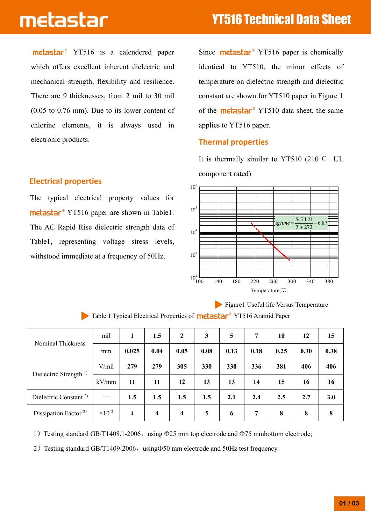# metastar

metastar<sup>®</sup> YT516 is a calendered paper which offers excellent inherent dielectric and mechanical strength, flexibility and resilience. There are 9 thicknesses, from 2 mil to 30 mil (0.05 to 0.76 mm). Due to its lower content of chlorine elements, it is always used in electronic products.

## **Electrical properties**

The typical electrical property values for metastar<sup>®</sup> YT516 paper are shown in Table1. The AC Rapid Rise dielectric strength data of Table1, representing voltage stress levels, withstood immediate at a frequency of 50Hz.

Since **metastar**<sup>®</sup> YT516 paper is chemically identical to YT510, the minor effects of temperature on dielectric strength and dielectric constant are shown for YT510 paper in Figure 1 of the **metastar**<sup>®</sup> YT510 data sheet, the same applies to YT516 paper.

### **Thermal properties**

It is thermally similar to YT510 (210  $\degree$ C UL component rated)



Figure1 Useful life Versus Temperature

| Nominal Thickness                 | mil                       | 1     | 1.5                     | $\mathbf{2}$ | 3          | 5          | 7              | 10   | 12   | 15   |
|-----------------------------------|---------------------------|-------|-------------------------|--------------|------------|------------|----------------|------|------|------|
|                                   | mm                        | 0.025 | 0.04                    | 0.05         | 0.08       | 0.13       | 0.18           | 0.25 | 0.30 | 0.38 |
| Dielectric Strength <sup>1)</sup> | V/mil                     | 279   | 279                     | 305          | <b>330</b> | <b>330</b> | 336            | 381  | 406  | 406  |
|                                   | kV/mm                     | 11    | 11                      | 12           | 13         | 13         | 14             | 15   | 16   | 16   |
| Dielectric Constant <sup>2)</sup> | $\hspace{0.05cm}$         | 1.5   | 1.5                     | 1.5          | 1.5        | 2.1        | 2.4            | 2.5  | 2.7  | 3.0  |
| Dissipation Factor <sup>2)</sup>  | $\times$ 10 <sup>-3</sup> | 4     | $\overline{\mathbf{4}}$ | 4            | 5          | 6          | $\overline{7}$ | 8    | 8    | 8    |

Table 1 Typical Electrical Properties of **metastar**<sup>®</sup> YT516 Aramid Paper

1) Testing standard GB/T1408.1-2006, using  $\Phi$ 25 mm top electrode and  $\Phi$ 75 mmbottom electrode;

2) Testing standard GB/T1409-2006, using $\Phi$ 50 mm electrode and 50Hz test frequency.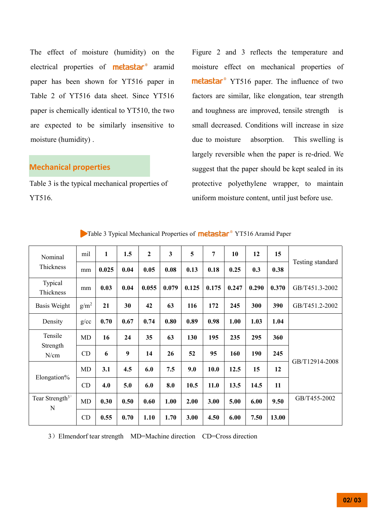The effect of moisture (humidity) on the electrical properties of **metastar**<sup>®</sup> aramid paper has been shown for YT516 paper in Table 2 of YT516 data sheet. Since YT516 paper is chemically identical to YT510, the two are expected to be similarly insensitive to moisture (humidity) .

#### **Mechanical properties**

Table 3 is the typical mechanical properties of YT516.

Figure 2 and 3 reflects the temperature and moisture effect on mechanical properties of metastar<sup>®</sup> YT516 paper. The influence of two factors are similar, like elongation, tear strength and toughness are improved, tensile strength is small decreased. Conditions will increase in size due to moisture absorption. This swelling is largely reversible when the paper is re-dried. We suggest that the paper should be kept sealed in its protective polyethylene wrapper, to maintain uniform moisture content, until just before use.

| Nominal<br>Thickness             | mil              | 1     | 1.5  | $\overline{2}$ | $\overline{\mathbf{3}}$ | 5     | $\overline{7}$ | 10    | 12    | 15    | Testing standard |  |
|----------------------------------|------------------|-------|------|----------------|-------------------------|-------|----------------|-------|-------|-------|------------------|--|
|                                  | mm               | 0.025 | 0.04 | 0.05           | 0.08                    | 0.13  | 0.18           | 0.25  | 0.3   | 0.38  |                  |  |
| Typical<br>Thickness             | mm               | 0.03  | 0.04 | 0.055          | 0.079                   | 0.125 | 0.175          | 0.247 | 0.290 | 0.370 | GB/T451.3-2002   |  |
| Basis Weight                     | g/m <sup>2</sup> | 21    | 30   | 42             | 63                      | 116   | 172            | 245   | 300   | 390   | GB/T451.2-2002   |  |
| Density                          | g/cc             | 0.70  | 0.67 | 0.74           | 0.80                    | 0.89  | 0.98           | 1.00  | 1.03  | 1.04  |                  |  |
| Tensile                          | MD               | 16    | 24   | 35             | 63                      | 130   | 195            | 235   | 295   | 360   |                  |  |
| Strength<br>N/cm                 | CD               | 6     | 9    | 14             | 26                      | 52    | 95             | 160   | 190   | 245   | GB/T12914-2008   |  |
|                                  | MD               | 3.1   | 4.5  | 6.0            | 7.5                     | 9.0   | 10.0           | 12.5  | 15    | 12    |                  |  |
| Elongation%                      | CD               | 4.0   | 5.0  | 6.0            | 8.0                     | 10.5  | 11.0           | 13.5  | 14.5  | 11    |                  |  |
| Tear Strength <sup>3)</sup><br>N | <b>MD</b>        | 0.30  | 0.50 | 0.60           | 1.00                    | 2.00  | 3.00           | 5.00  | 6.00  | 9.50  | GB/T455-2002     |  |
|                                  | CD               | 0.55  | 0.70 | 1.10           | 1.70                    | 3.00  | 4.50           | 6.00  | 7.50  | 13.00 |                  |  |

Table 3 Typical Mechanical Properties of **metastar**<sup>®</sup> YT516 Aramid Paper

3)Elmendorf tear strength MD=Machine direction CD=Cross direction